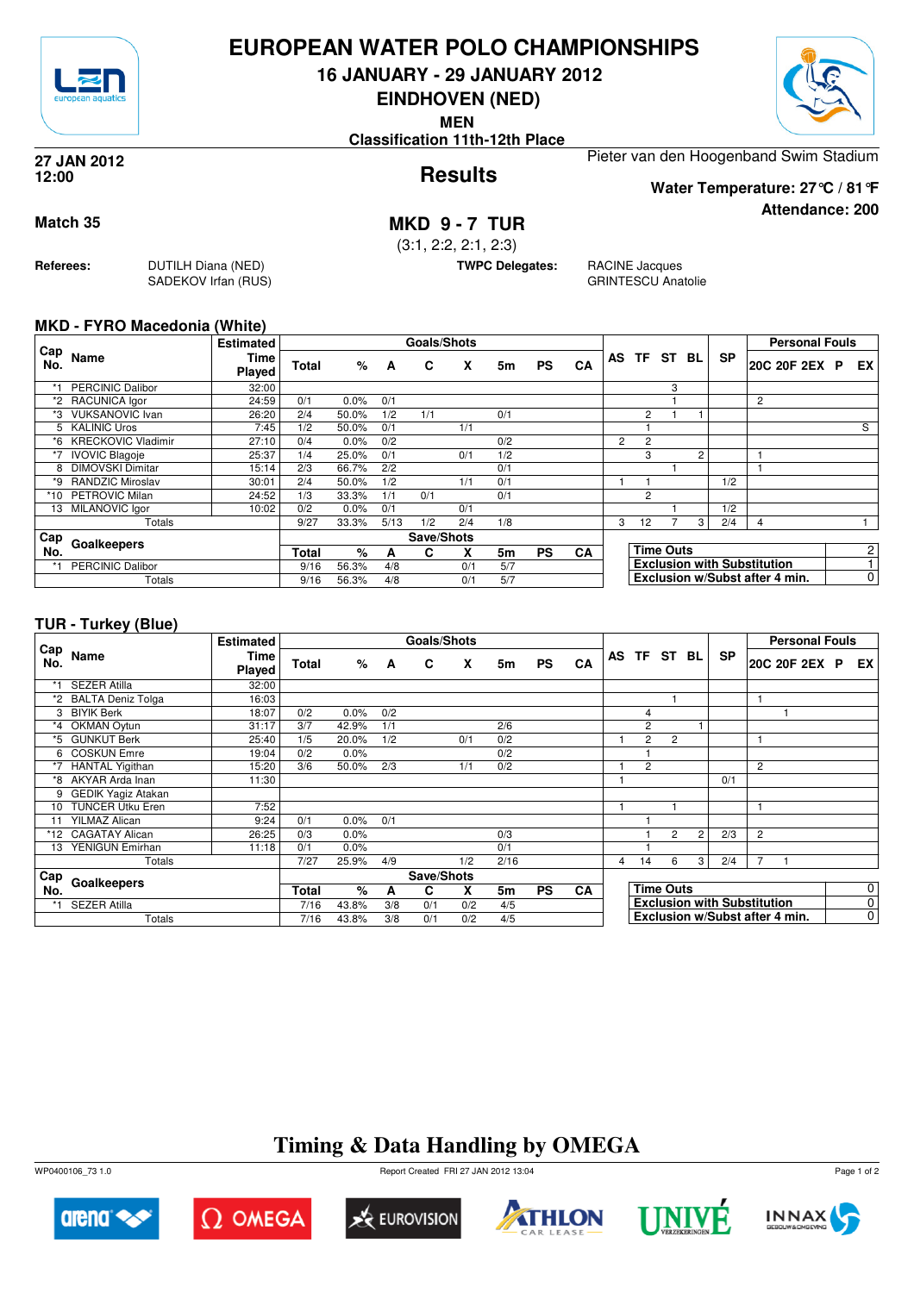

### **EUROPEAN WATER POLO CHAMPIONSHIPS**

**16 JANUARY - 29 JANUARY 2012**

**EINDHOVEN (NED)**

**MEN**

**Classification 11th-12th Place**



**Attendance: 200**

**Results 27 JAN 2012 12:00**

Pieter van den Hoogenband Swim Stadium

**Water Temperature: 27°C / 81°F**

**Match 35 MKD 9 - 7 TUR**

(3:1, 2:2, 2:1, 2:3)

**TWPC Delegates:** RACINE Jacques GRINTESCU Anatolie

#### **MKD - FYRO Macedonia (White)**

**Referees:** DUTILH Diana (NED)

SADEKOV Irfan (RUS)

|            |                           | <b>Estimated</b> |              |         |      | <b>Goals/Shots</b> |     |     |           |    |                |                |                  |                |           | <b>Personal Fouls</b>              |                |
|------------|---------------------------|------------------|--------------|---------|------|--------------------|-----|-----|-----------|----|----------------|----------------|------------------|----------------|-----------|------------------------------------|----------------|
| Cap<br>No. | Name                      | Time<br>Played   | <b>Total</b> | %       | A    | C                  | x   | 5m  | <b>PS</b> | CA |                | AS TF ST BL    |                  |                | <b>SP</b> | 20C 20F 2EX P                      | EX             |
|            | <b>PERCINIC Dalibor</b>   | 32:00            |              |         |      |                    |     |     |           |    |                |                | 3                |                |           |                                    |                |
|            | *2 RACUNICA lgor          | 24:59            | 0/1          | 0.0%    | 0/1  |                    |     |     |           |    |                |                |                  |                |           | $\overline{2}$                     |                |
| *3         | <b>VUKSANOVIC Ivan</b>    | 26:20            | 2/4          | 50.0%   | 1/2  | 1/1                |     | 0/1 |           |    |                | $\overline{2}$ |                  |                |           |                                    |                |
|            | 5 KALINIC Uros            | 7:45             | 1/2          | 50.0%   | 0/1  |                    | 1/1 |     |           |    |                |                |                  |                |           |                                    | S              |
| *6         | <b>KRECKOVIC Vladimir</b> | 27:10            | 0/4          | $0.0\%$ | 0/2  |                    |     | 0/2 |           |    | $\overline{2}$ | 2              |                  |                |           |                                    |                |
|            | <b>IVOVIC Blagoje</b>     | 25:37            | 1/4          | 25.0%   | 0/1  |                    | 0/1 | 1/2 |           |    |                | 3              |                  | $\overline{c}$ |           |                                    |                |
| 8          | <b>DIMOVSKI Dimitar</b>   | 15:14            | 2/3          | 66.7%   | 2/2  |                    |     | 0/1 |           |    |                |                |                  |                |           |                                    |                |
| *9         | RANDZIC Miroslav          | 30:01            | 2/4          | 50.0%   | 1/2  |                    | 1/1 | 0/1 |           |    |                |                |                  |                | 1/2       |                                    |                |
| *10        | <b>PETROVIC Milan</b>     | 24:52            | 1/3          | 33.3%   | 1/1  | 0/1                |     | 0/1 |           |    |                | 2              |                  |                |           |                                    |                |
|            | 13 MILANOVIC Igor         | 10:02            | 0/2          | $0.0\%$ | 0/1  |                    | 0/1 |     |           |    |                |                |                  |                | 1/2       |                                    |                |
|            | Totals                    |                  | 9/27         | 33.3%   | 5/13 | 1/2                | 2/4 | 1/8 |           |    | 3              | 12             |                  | 3              | 2/4       | 4                                  |                |
| Cap        |                           |                  |              |         |      | Save/Shots         |     |     |           |    |                |                |                  |                |           |                                    |                |
| No.        | Goalkeepers               |                  | <b>Total</b> | %       | A    | С                  | X   | 5m  | <b>PS</b> | CA |                |                | <b>Time Outs</b> |                |           |                                    | $\overline{2}$ |
|            | <b>PERCINIC Dalibor</b>   |                  | 9/16         | 56.3%   | 4/8  |                    | 0/1 | 5/7 |           |    |                |                |                  |                |           | <b>Exclusion with Substitution</b> |                |
|            | Totals                    |                  | 9/16         | 56.3%   | 4/8  |                    | 0/1 | 5/7 |           |    |                |                |                  |                |           | Exclusion w/Subst after 4 min.     | 0              |

#### **TUR - Turkey (Blue)**

|            | $\cdots$ , $\cdots$       |                  |              |       |     |                    |     |      |           |           |    |                |                  |                |                                    |                |                       |  |             |
|------------|---------------------------|------------------|--------------|-------|-----|--------------------|-----|------|-----------|-----------|----|----------------|------------------|----------------|------------------------------------|----------------|-----------------------|--|-------------|
|            |                           | <b>Estimated</b> |              |       |     | <b>Goals/Shots</b> |     |      |           |           |    |                |                  |                |                                    |                | <b>Personal Fouls</b> |  |             |
| Cap<br>No. | <b>Name</b>               | Time<br>Played   | Total        | %     | A   | C                  | X   | 5m   | <b>PS</b> | CA        | AS |                |                  | TF ST BL       | <b>SP</b>                          |                | 20C 20F 2EX P         |  | EX          |
| *1         | <b>SEZER Atilla</b>       | 32:00            |              |       |     |                    |     |      |           |           |    |                |                  |                |                                    |                |                       |  |             |
|            | *2 BALTA Deniz Tolga      | 16:03            |              |       |     |                    |     |      |           |           |    |                |                  |                |                                    |                |                       |  |             |
| 3          | <b>BIYIK Berk</b>         | 18:07            | 0/2          | 0.0%  | 0/2 |                    |     |      |           |           |    | 4              |                  |                |                                    |                |                       |  |             |
| $*_{4}$    | OKMAN Oytun               | 31:17            | 3/7          | 42.9% | 1/1 |                    |     | 2/6  |           |           |    | 2              |                  |                |                                    |                |                       |  |             |
| *5         | <b>GUNKUT Berk</b>        | 25:40            | 1/5          | 20.0% | 1/2 |                    | 0/1 | 0/2  |           |           |    | $\overline{2}$ | 2                |                |                                    |                |                       |  |             |
| 6          | <b>COSKUN Emre</b>        | 19:04            | 0/2          | 0.0%  |     |                    |     | 0/2  |           |           |    |                |                  |                |                                    |                |                       |  |             |
|            | <b>HANTAL Yigithan</b>    | 15:20            | 3/6          | 50.0% | 2/3 |                    | 1/1 | 0/2  |           |           |    | $\overline{2}$ |                  |                |                                    | $\overline{2}$ |                       |  |             |
| *8         | <b>AKYAR Arda Inan</b>    | 11:30            |              |       |     |                    |     |      |           |           |    |                |                  |                | 0/1                                |                |                       |  |             |
| 9          | <b>GEDIK Yagiz Atakan</b> |                  |              |       |     |                    |     |      |           |           |    |                |                  |                |                                    |                |                       |  |             |
| 10         | <b>TUNCER Utku Eren</b>   | 7:52             |              |       |     |                    |     |      |           |           |    |                |                  |                |                                    |                |                       |  |             |
| 11         | <b>YILMAZ Alican</b>      | 9:24             | 0/1          | 0.0%  | 0/1 |                    |     |      |           |           |    |                |                  |                |                                    |                |                       |  |             |
| *12        | <b>CAGATAY Alican</b>     | 26:25            | 0/3          | 0.0%  |     |                    |     | 0/3  |           |           |    |                | $\overline{2}$   | $\overline{2}$ | 2/3                                | $\overline{2}$ |                       |  |             |
| 13         | YENIGUN Emirhan           | 11:18            | 0/1          | 0.0%  |     |                    |     | 0/1  |           |           |    |                |                  |                |                                    |                |                       |  |             |
|            | Totals                    |                  | 7/27         | 25.9% | 4/9 |                    | 1/2 | 2/16 |           |           | 4  | 14             | 6                | 3 <sub>1</sub> | 2/4                                | $\overline{7}$ |                       |  |             |
| Cap        |                           |                  |              |       |     | Save/Shots         |     |      |           |           |    |                |                  |                |                                    |                |                       |  |             |
| No.        | Goalkeepers               |                  | <b>Total</b> | %     | A   | C                  | X   | 5m   | <b>PS</b> | <b>CA</b> |    |                | <b>Time Outs</b> |                |                                    |                |                       |  | 0           |
| *1         | <b>SEZER Atilla</b>       |                  | 7/16         | 43.8% | 3/8 | 0/1                | 0/2 | 4/5  |           |           |    |                |                  |                | <b>Exclusion with Substitution</b> |                |                       |  | $\mathbf 0$ |
|            | Totals                    |                  | 7/16         | 43.8% | 3/8 | 0/1                | 0/2 | 4/5  |           |           |    |                |                  |                | Exclusion w/Subst after 4 min.     |                |                       |  | $\mathbf 0$ |

## **Timing & Data Handling by OMEGA**















Page 1 of 2